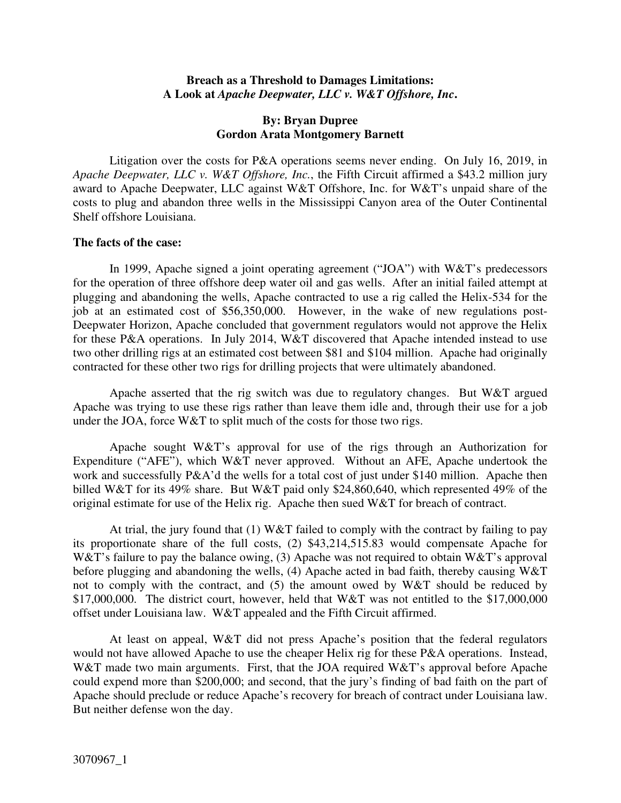### **Breach as a Threshold to Damages Limitations: A Look at** *Apache Deepwater, LLC v. W&T Offshore, Inc***.**

## **By: Bryan Dupree Gordon Arata Montgomery Barnett**

Litigation over the costs for P&A operations seems never ending. On July 16, 2019, in *Apache Deepwater, LLC v. W&T Offshore, Inc.*, the Fifth Circuit affirmed a \$43.2 million jury award to Apache Deepwater, LLC against W&T Offshore, Inc. for W&T's unpaid share of the costs to plug and abandon three wells in the Mississippi Canyon area of the Outer Continental Shelf offshore Louisiana.

### **The facts of the case:**

In 1999, Apache signed a joint operating agreement ("JOA") with W&T's predecessors for the operation of three offshore deep water oil and gas wells. After an initial failed attempt at plugging and abandoning the wells, Apache contracted to use a rig called the Helix-534 for the job at an estimated cost of \$56,350,000. However, in the wake of new regulations post-Deepwater Horizon, Apache concluded that government regulators would not approve the Helix for these P&A operations. In July 2014, W&T discovered that Apache intended instead to use two other drilling rigs at an estimated cost between \$81 and \$104 million. Apache had originally contracted for these other two rigs for drilling projects that were ultimately abandoned.

Apache asserted that the rig switch was due to regulatory changes. But W&T argued Apache was trying to use these rigs rather than leave them idle and, through their use for a job under the JOA, force  $W&T$  to split much of the costs for those two rigs.

Apache sought W&T's approval for use of the rigs through an Authorization for Expenditure ("AFE"), which W&T never approved. Without an AFE, Apache undertook the work and successfully P&A'd the wells for a total cost of just under \$140 million. Apache then billed W&T for its 49% share. But W&T paid only \$24,860,640, which represented 49% of the original estimate for use of the Helix rig. Apache then sued W&T for breach of contract.

At trial, the jury found that (1) W&T failed to comply with the contract by failing to pay its proportionate share of the full costs, (2) \$43,214,515.83 would compensate Apache for W&T's failure to pay the balance owing, (3) Apache was not required to obtain W&T's approval before plugging and abandoning the wells, (4) Apache acted in bad faith, thereby causing W&T not to comply with the contract, and (5) the amount owed by W&T should be reduced by \$17,000,000. The district court, however, held that W&T was not entitled to the \$17,000,000 offset under Louisiana law. W&T appealed and the Fifth Circuit affirmed.

At least on appeal, W&T did not press Apache's position that the federal regulators would not have allowed Apache to use the cheaper Helix rig for these P&A operations. Instead, W&T made two main arguments. First, that the JOA required W&T's approval before Apache could expend more than \$200,000; and second, that the jury's finding of bad faith on the part of Apache should preclude or reduce Apache's recovery for breach of contract under Louisiana law. But neither defense won the day.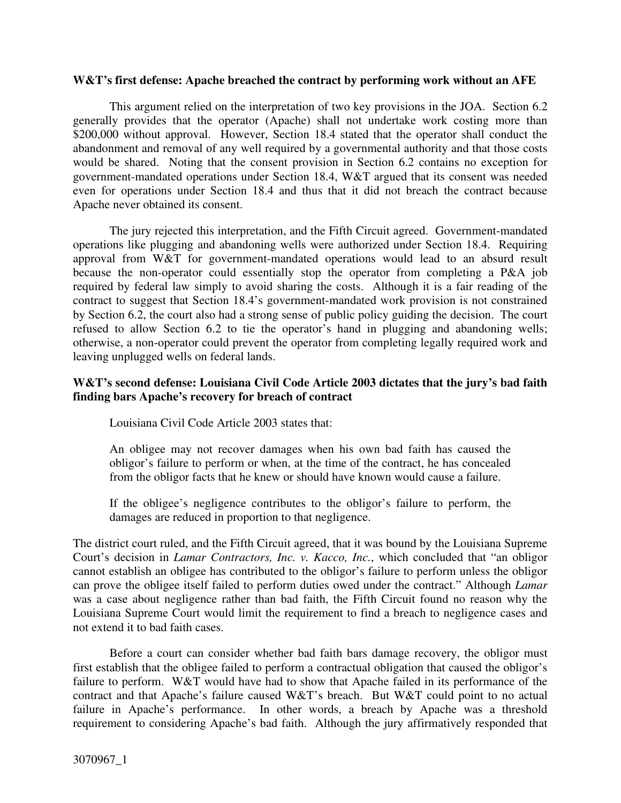#### **W&T's first defense: Apache breached the contract by performing work without an AFE**

This argument relied on the interpretation of two key provisions in the JOA. Section 6.2 generally provides that the operator (Apache) shall not undertake work costing more than \$200,000 without approval. However, Section 18.4 stated that the operator shall conduct the abandonment and removal of any well required by a governmental authority and that those costs would be shared. Noting that the consent provision in Section 6.2 contains no exception for government-mandated operations under Section 18.4, W&T argued that its consent was needed even for operations under Section 18.4 and thus that it did not breach the contract because Apache never obtained its consent.

The jury rejected this interpretation, and the Fifth Circuit agreed. Government-mandated operations like plugging and abandoning wells were authorized under Section 18.4. Requiring approval from W&T for government-mandated operations would lead to an absurd result because the non-operator could essentially stop the operator from completing a P&A job required by federal law simply to avoid sharing the costs. Although it is a fair reading of the contract to suggest that Section 18.4's government-mandated work provision is not constrained by Section 6.2, the court also had a strong sense of public policy guiding the decision. The court refused to allow Section 6.2 to tie the operator's hand in plugging and abandoning wells; otherwise, a non-operator could prevent the operator from completing legally required work and leaving unplugged wells on federal lands.

# **W&T's second defense: Louisiana Civil Code Article 2003 dictates that the jury's bad faith finding bars Apache's recovery for breach of contract**

Louisiana Civil Code Article 2003 states that:

An obligee may not recover damages when his own bad faith has caused the obligor's failure to perform or when, at the time of the contract, he has concealed from the obligor facts that he knew or should have known would cause a failure.

If the obligee's negligence contributes to the obligor's failure to perform, the damages are reduced in proportion to that negligence.

The district court ruled, and the Fifth Circuit agreed, that it was bound by the Louisiana Supreme Court's decision in *Lamar Contractors, Inc. v. Kacco, Inc.*, which concluded that "an obligor cannot establish an obligee has contributed to the obligor's failure to perform unless the obligor can prove the obligee itself failed to perform duties owed under the contract." Although *Lamar* was a case about negligence rather than bad faith, the Fifth Circuit found no reason why the Louisiana Supreme Court would limit the requirement to find a breach to negligence cases and not extend it to bad faith cases.

Before a court can consider whether bad faith bars damage recovery, the obligor must first establish that the obligee failed to perform a contractual obligation that caused the obligor's failure to perform. W&T would have had to show that Apache failed in its performance of the contract and that Apache's failure caused W&T's breach. But W&T could point to no actual failure in Apache's performance. In other words, a breach by Apache was a threshold requirement to considering Apache's bad faith. Although the jury affirmatively responded that